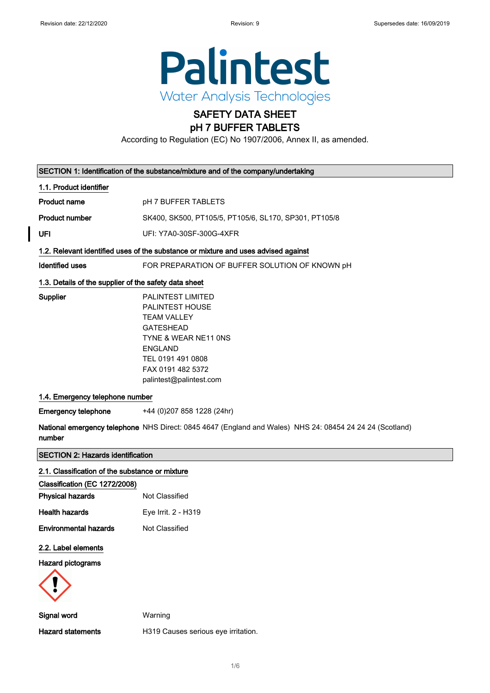

# SAFETY DATA SHEET

### pH 7 BUFFER TABLETS

According to Regulation (EC) No 1907/2006, Annex II, as amended.

| SECTION 1: Identification of the substance/mixture and of the company/undertaking |                                                                                                                                                                                                      |
|-----------------------------------------------------------------------------------|------------------------------------------------------------------------------------------------------------------------------------------------------------------------------------------------------|
| 1.1. Product identifier                                                           |                                                                                                                                                                                                      |
| <b>Product name</b>                                                               | pH 7 BUFFER TABLETS                                                                                                                                                                                  |
| <b>Product number</b>                                                             | SK400, SK500, PT105/5, PT105/6, SL170, SP301, PT105/8                                                                                                                                                |
| UFI                                                                               | UFI: Y7A0-30SF-300G-4XFR                                                                                                                                                                             |
|                                                                                   | 1.2. Relevant identified uses of the substance or mixture and uses advised against                                                                                                                   |
| Identified uses                                                                   | FOR PREPARATION OF BUFFER SOLUTION OF KNOWN pH                                                                                                                                                       |
| 1.3. Details of the supplier of the safety data sheet                             |                                                                                                                                                                                                      |
| Supplier                                                                          | <b>PALINTEST LIMITED</b><br>PALINTEST HOUSE<br><b>TEAM VALLEY</b><br><b>GATESHEAD</b><br>TYNE & WEAR NE11 ONS<br><b>ENGLAND</b><br>TEL 0191 491 0808<br>FAX 0191 482 5372<br>palintest@palintest.com |
| 1.4. Emergency telephone number                                                   |                                                                                                                                                                                                      |
| <b>Emergency telephone</b>                                                        | +44 (0) 207 858 1228 (24hr)                                                                                                                                                                          |
| number                                                                            | National emergency telephone NHS Direct: 0845 4647 (England and Wales) NHS 24: 08454 24 24 24 (Scotland)                                                                                             |
| <b>SECTION 2: Hazards identification</b>                                          |                                                                                                                                                                                                      |
| 2.1. Classification of the substance or mixture                                   |                                                                                                                                                                                                      |

| Not Classified      |
|---------------------|
| Eye Irrit. 2 - H319 |
| Not Classified      |
|                     |
|                     |
|                     |
| Warning             |
|                     |
|                     |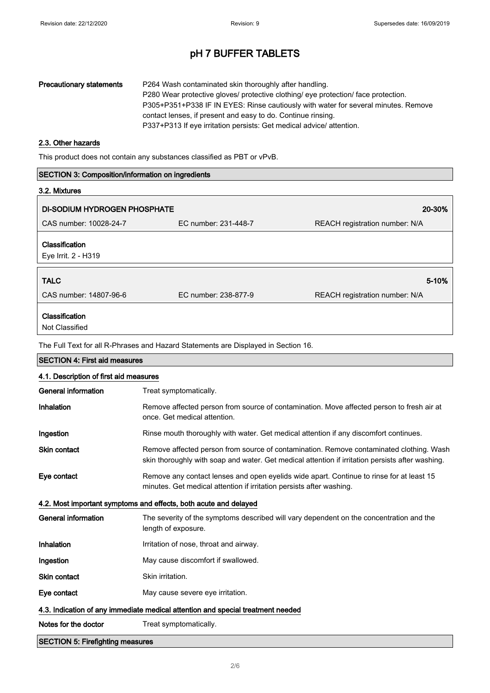| <b>Precautionary statements</b> | P264 Wash contaminated skin thoroughly after handling.<br>P280 Wear protective gloves/ protective clothing/ eye protection/ face protection.<br>P305+P351+P338 IF IN EYES: Rinse cautiously with water for several minutes. Remove |
|---------------------------------|------------------------------------------------------------------------------------------------------------------------------------------------------------------------------------------------------------------------------------|
|                                 | contact lenses, if present and easy to do. Continue rinsing.<br>P337+P313 If eye irritation persists: Get medical advice/ attention.                                                                                               |

### 2.3. Other hazards

This product does not contain any substances classified as PBT or vPvB.

| <b>SECTION 3: Composition/information on ingredients</b> |                                                                                                                                                                                             |                                |
|----------------------------------------------------------|---------------------------------------------------------------------------------------------------------------------------------------------------------------------------------------------|--------------------------------|
| 3.2. Mixtures                                            |                                                                                                                                                                                             |                                |
| <b>DI-SODIUM HYDROGEN PHOSPHATE</b>                      |                                                                                                                                                                                             | 20-30%                         |
| CAS number: 10028-24-7                                   | EC number: 231-448-7                                                                                                                                                                        | REACH registration number: N/A |
|                                                          |                                                                                                                                                                                             |                                |
| Classification<br>Eye Irrit. 2 - H319                    |                                                                                                                                                                                             |                                |
|                                                          |                                                                                                                                                                                             |                                |
| <b>TALC</b>                                              |                                                                                                                                                                                             | 5-10%                          |
| CAS number: 14807-96-6                                   | EC number: 238-877-9                                                                                                                                                                        | REACH registration number: N/A |
| Classification                                           |                                                                                                                                                                                             |                                |
| Not Classified                                           |                                                                                                                                                                                             |                                |
|                                                          | The Full Text for all R-Phrases and Hazard Statements are Displayed in Section 16.                                                                                                          |                                |
| <b>SECTION 4: First aid measures</b>                     |                                                                                                                                                                                             |                                |
| 4.1. Description of first aid measures                   |                                                                                                                                                                                             |                                |
| <b>General information</b>                               | Treat symptomatically.                                                                                                                                                                      |                                |
| Inhalation                                               | Remove affected person from source of contamination. Move affected person to fresh air at<br>once. Get medical attention.                                                                   |                                |
| Ingestion                                                | Rinse mouth thoroughly with water. Get medical attention if any discomfort continues.                                                                                                       |                                |
| <b>Skin contact</b>                                      | Remove affected person from source of contamination. Remove contaminated clothing. Wash<br>skin thoroughly with soap and water. Get medical attention if irritation persists after washing. |                                |
| Eye contact                                              | Remove any contact lenses and open eyelids wide apart. Continue to rinse for at least 15<br>minutes. Get medical attention if irritation persists after washing.                            |                                |
|                                                          | 4.2. Most important symptoms and effects, both acute and delayed                                                                                                                            |                                |
| <b>General information</b>                               | The severity of the symptoms described will vary dependent on the concentration and the<br>length of exposure.                                                                              |                                |
| Inhalation                                               | Irritation of nose, throat and airway.                                                                                                                                                      |                                |
| Ingestion                                                | May cause discomfort if swallowed.                                                                                                                                                          |                                |
| Skin contact                                             | Skin irritation.                                                                                                                                                                            |                                |
| Eye contact                                              | May cause severe eye irritation.                                                                                                                                                            |                                |
|                                                          | 4.3. Indication of any immediate medical attention and special treatment needed                                                                                                             |                                |
| Notes for the doctor                                     | Treat symptomatically.                                                                                                                                                                      |                                |
| <b>SECTION 5: Firefighting measures</b>                  |                                                                                                                                                                                             |                                |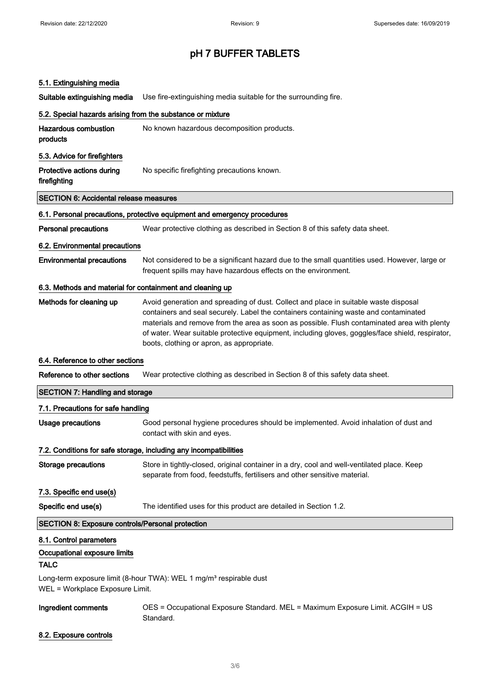### 5.1. Extinguishing media

Suitable extinguishing media Use fire-extinguishing media suitable for the surrounding fire.

| 5.2. Special hazards arising from the substance or mixture                                                        |                                                                                                                                                                                                                                                                                                                                                                                                                              |
|-------------------------------------------------------------------------------------------------------------------|------------------------------------------------------------------------------------------------------------------------------------------------------------------------------------------------------------------------------------------------------------------------------------------------------------------------------------------------------------------------------------------------------------------------------|
| <b>Hazardous combustion</b><br>products                                                                           | No known hazardous decomposition products.                                                                                                                                                                                                                                                                                                                                                                                   |
| 5.3. Advice for firefighters                                                                                      |                                                                                                                                                                                                                                                                                                                                                                                                                              |
| Protective actions during<br>firefighting                                                                         | No specific firefighting precautions known.                                                                                                                                                                                                                                                                                                                                                                                  |
| <b>SECTION 6: Accidental release measures</b>                                                                     |                                                                                                                                                                                                                                                                                                                                                                                                                              |
|                                                                                                                   | 6.1. Personal precautions, protective equipment and emergency procedures                                                                                                                                                                                                                                                                                                                                                     |
| <b>Personal precautions</b>                                                                                       | Wear protective clothing as described in Section 8 of this safety data sheet.                                                                                                                                                                                                                                                                                                                                                |
| 6.2. Environmental precautions                                                                                    |                                                                                                                                                                                                                                                                                                                                                                                                                              |
| <b>Environmental precautions</b>                                                                                  | Not considered to be a significant hazard due to the small quantities used. However, large or<br>frequent spills may have hazardous effects on the environment.                                                                                                                                                                                                                                                              |
| 6.3. Methods and material for containment and cleaning up                                                         |                                                                                                                                                                                                                                                                                                                                                                                                                              |
| Methods for cleaning up                                                                                           | Avoid generation and spreading of dust. Collect and place in suitable waste disposal<br>containers and seal securely. Label the containers containing waste and contaminated<br>materials and remove from the area as soon as possible. Flush contaminated area with plenty<br>of water. Wear suitable protective equipment, including gloves, goggles/face shield, respirator,<br>boots, clothing or apron, as appropriate. |
| 6.4. Reference to other sections                                                                                  |                                                                                                                                                                                                                                                                                                                                                                                                                              |
| Reference to other sections                                                                                       | Wear protective clothing as described in Section 8 of this safety data sheet.                                                                                                                                                                                                                                                                                                                                                |
| <b>SECTION 7: Handling and storage</b>                                                                            |                                                                                                                                                                                                                                                                                                                                                                                                                              |
| 7.1. Precautions for safe handling                                                                                |                                                                                                                                                                                                                                                                                                                                                                                                                              |
| <b>Usage precautions</b>                                                                                          | Good personal hygiene procedures should be implemented. Avoid inhalation of dust and<br>contact with skin and eyes.                                                                                                                                                                                                                                                                                                          |
|                                                                                                                   | 7.2. Conditions for safe storage, including any incompatibilities                                                                                                                                                                                                                                                                                                                                                            |
| <b>Storage precautions</b>                                                                                        | Store in tightly-closed, original container in a dry, cool and well-ventilated place. Keep<br>separate from food, feedstuffs, fertilisers and other sensitive material.                                                                                                                                                                                                                                                      |
| 7.3. Specific end use(s)                                                                                          |                                                                                                                                                                                                                                                                                                                                                                                                                              |
| Specific end use(s)                                                                                               | The identified uses for this product are detailed in Section 1.2.                                                                                                                                                                                                                                                                                                                                                            |
| <b>SECTION 8: Exposure controls/Personal protection</b>                                                           |                                                                                                                                                                                                                                                                                                                                                                                                                              |
| 8.1. Control parameters                                                                                           |                                                                                                                                                                                                                                                                                                                                                                                                                              |
| Occupational exposure limits<br><b>TALC</b>                                                                       |                                                                                                                                                                                                                                                                                                                                                                                                                              |
| Long-term exposure limit (8-hour TWA): WEL 1 mg/m <sup>3</sup> respirable dust<br>WEL = Workplace Exposure Limit. |                                                                                                                                                                                                                                                                                                                                                                                                                              |
| Ingredient comments                                                                                               | OES = Occupational Exposure Standard. MEL = Maximum Exposure Limit. ACGIH = US<br>Standard.                                                                                                                                                                                                                                                                                                                                  |

8.2. Exposure controls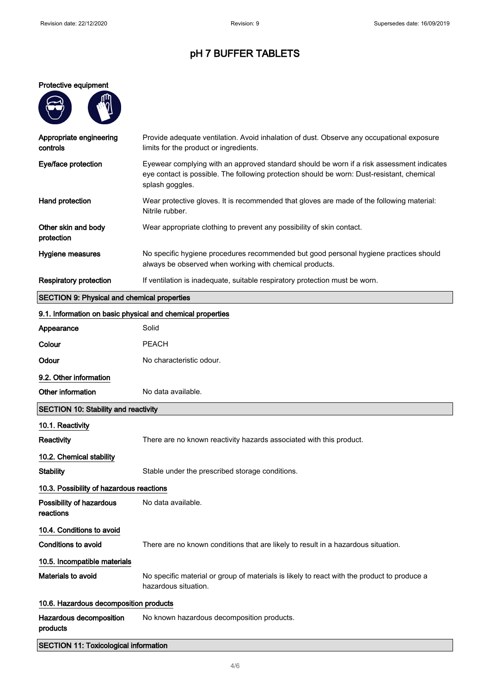#### Protective equipment

| Ųπ |
|----|
|    |
|    |
|    |

| Appropriate engineering<br>controls                        | Provide adequate ventilation. Avoid inhalation of dust. Observe any occupational exposure<br>limits for the product or ingredients.                                                                        |
|------------------------------------------------------------|------------------------------------------------------------------------------------------------------------------------------------------------------------------------------------------------------------|
| Eye/face protection                                        | Eyewear complying with an approved standard should be worn if a risk assessment indicates<br>eye contact is possible. The following protection should be worn: Dust-resistant, chemical<br>splash goggles. |
| Hand protection                                            | Wear protective gloves. It is recommended that gloves are made of the following material:<br>Nitrile rubber.                                                                                               |
| Other skin and body<br>protection                          | Wear appropriate clothing to prevent any possibility of skin contact.                                                                                                                                      |
| Hygiene measures                                           | No specific hygiene procedures recommended but good personal hygiene practices should<br>always be observed when working with chemical products.                                                           |
| <b>Respiratory protection</b>                              | If ventilation is inadequate, suitable respiratory protection must be worn.                                                                                                                                |
| <b>SECTION 9: Physical and chemical properties</b>         |                                                                                                                                                                                                            |
| 9.1. Information on basic physical and chemical properties |                                                                                                                                                                                                            |
| Appearance                                                 | Solid                                                                                                                                                                                                      |
| Colour                                                     | <b>PEACH</b>                                                                                                                                                                                               |
| Odour                                                      | No characteristic odour.                                                                                                                                                                                   |
| 9.2. Other information                                     |                                                                                                                                                                                                            |
| Other information                                          | No data available.                                                                                                                                                                                         |
| <b>SECTION 10: Stability and reactivity</b>                |                                                                                                                                                                                                            |
| 10.1. Reactivity                                           |                                                                                                                                                                                                            |
| <b>Reactivity</b>                                          | There are no known reactivity hazards associated with this product.                                                                                                                                        |
| 10.2. Chemical stability                                   |                                                                                                                                                                                                            |
| <b>Stability</b>                                           | Stable under the prescribed storage conditions.                                                                                                                                                            |

# 10.3. Possibility of hazardous reactions

Possibility of hazardous reactions No data available. 10.4. Conditions to avoid Conditions to avoid There are no known conditions that are likely to result in a hazardous situation. 10.5. Incompatible materials Materials to avoid No specific material or group of materials is likely to react with the product to produce a hazardous situation. 10.6. Hazardous decomposition products

Hazardous decomposition products No known hazardous decomposition products.

### SECTION 11: Toxicological information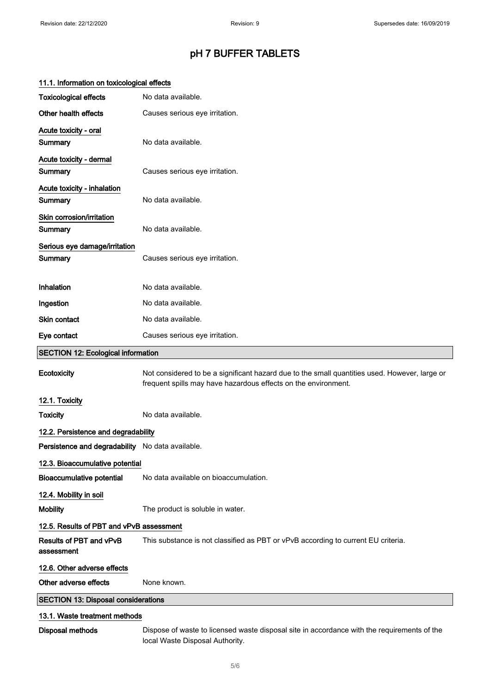| <b>Toxicological effects</b>                     | No data available.                                                                                                                                              |
|--------------------------------------------------|-----------------------------------------------------------------------------------------------------------------------------------------------------------------|
| Other health effects                             | Causes serious eye irritation.                                                                                                                                  |
| Acute toxicity - oral<br>Summary                 | No data available.                                                                                                                                              |
| Acute toxicity - dermal<br>Summary               | Causes serious eye irritation.                                                                                                                                  |
| Acute toxicity - inhalation<br>Summary           | No data available.                                                                                                                                              |
| Skin corrosion/irritation<br>Summary             | No data available.                                                                                                                                              |
| Serious eye damage/irritation<br>Summary         | Causes serious eye irritation.                                                                                                                                  |
| Inhalation                                       | No data available.                                                                                                                                              |
| Ingestion                                        | No data available.                                                                                                                                              |
| Skin contact                                     | No data available.                                                                                                                                              |
| Eye contact                                      | Causes serious eye irritation.                                                                                                                                  |
| <b>SECTION 12: Ecological information</b>        |                                                                                                                                                                 |
| Ecotoxicity                                      | Not considered to be a significant hazard due to the small quantities used. However, large or<br>frequent spills may have hazardous effects on the environment. |
|                                                  |                                                                                                                                                                 |
| 12.1. Toxicity                                   |                                                                                                                                                                 |
| <b>Toxicity</b>                                  | No data available.                                                                                                                                              |
| 12.2. Persistence and degradability              |                                                                                                                                                                 |
| Persistence and degradability No data available. |                                                                                                                                                                 |
| 12.3. Bioaccumulative potential                  |                                                                                                                                                                 |
| <b>Bioaccumulative potential</b>                 | No data available on bioaccumulation.                                                                                                                           |
| 12.4. Mobility in soil                           |                                                                                                                                                                 |
| <b>Mobility</b>                                  | The product is soluble in water.                                                                                                                                |
| 12.5. Results of PBT and vPvB assessment         |                                                                                                                                                                 |
| Results of PBT and vPvB<br>assessment            | This substance is not classified as PBT or vPvB according to current EU criteria.                                                                               |
| 12.6. Other adverse effects                      |                                                                                                                                                                 |
| Other adverse effects                            | None known.                                                                                                                                                     |
| <b>SECTION 13: Disposal considerations</b>       |                                                                                                                                                                 |
| 13.1. Waste treatment methods                    |                                                                                                                                                                 |

### 11.1. Information on toxicological effects

local Waste Disposal Authority.